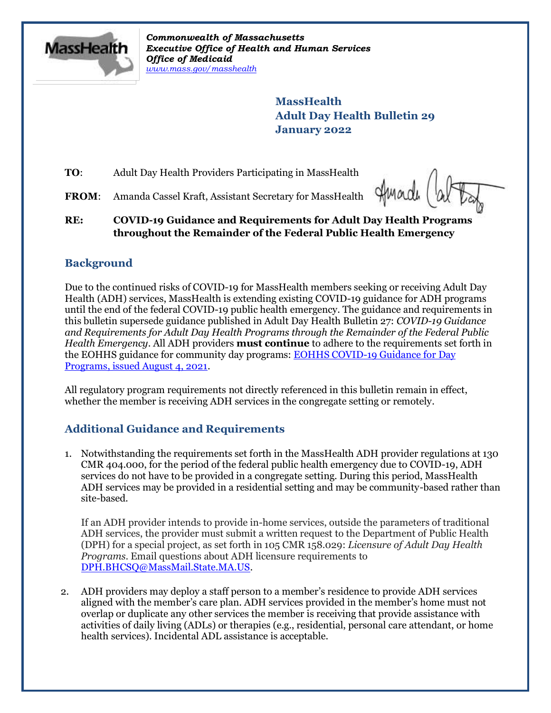

*Commonwealth of Massachusetts Executive Office of Health and Human Services Office of Medicaid [www.mass.gov/masshealth](http://www.mass.gov/masshealth)*

> **MassHealth Adult Day Health Bulletin 29 January 2022**

**TO**: Adult Day Health Providers Participating in MassHealth

**FROM**: Amanda Cassel Kraft, Assistant Secretary for MassHealth

Imade

#### **RE: COVID-19 Guidance and Requirements for Adult Day Health Programs throughout the Remainder of the Federal Public Health Emergency**

# **Background**

Due to the continued risks of COVID-19 for MassHealth members seeking or receiving Adult Day Health (ADH) services, MassHealth is extending existing COVID-19 guidance for ADH programs until the end of the federal COVID-19 public health emergency. The guidance and requirements in this bulletin supersede guidance published in Adult Day Health Bulletin 27: *COVID-19 Guidance and Requirements for Adult Day Health Programs through the Remainder of the Federal Public Health Emergency*. All ADH providers **must continue** to adhere to the requirements set forth in the EOHHS guidance for community day programs: [EOHHS COVID-19 Guidance for Day](https://www.mass.gov/info-details/covid-19-public-health-guidance-and-directives)  [Programs, issued August 4, 2021.](https://www.mass.gov/info-details/covid-19-public-health-guidance-and-directives)

All regulatory program requirements not directly referenced in this bulletin remain in effect, whether the member is receiving ADH services in the congregate setting or remotely.

# **Additional Guidance and Requirements**

1. Notwithstanding the requirements set forth in the MassHealth ADH provider regulations at 130 CMR 404.000, for the period of the federal public health emergency due to COVID-19, ADH services do not have to be provided in a congregate setting. During this period, MassHealth ADH services may be provided in a residential setting and may be community-based rather than site-based.

If an ADH provider intends to provide in-home services, outside the parameters of traditional ADH services, the provider must submit a written request to the Department of Public Health (DPH) for a special project, as set forth in 105 CMR 158.029: *Licensure of Adult Day Health Programs*. Email questions about ADH licensure requirements to [DPH.BHCSQ@MassMail.State.MA.US.](mailto:DPH.BHCSQ@MassMail.State.MA.US)

2. ADH providers may deploy a staff person to a member's residence to provide ADH services aligned with the member's care plan. ADH services provided in the member's home must not overlap or duplicate any other services the member is receiving that provide assistance with activities of daily living (ADLs) or therapies (e.g., residential, personal care attendant, or home health services). Incidental ADL assistance is acceptable.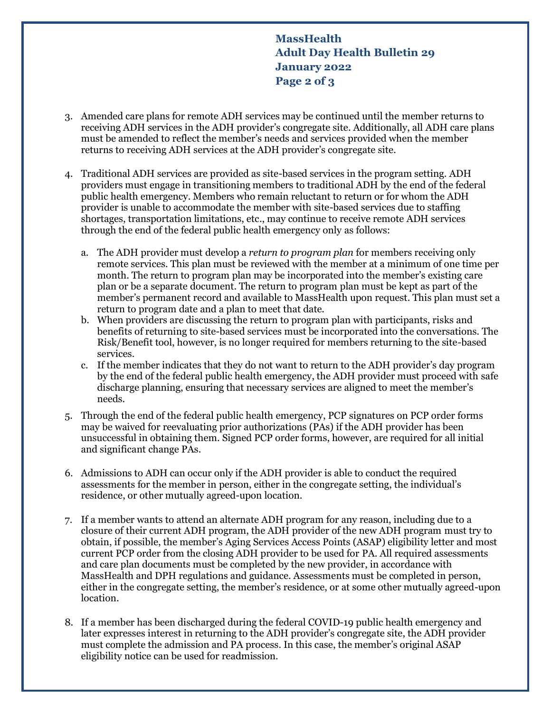**MassHealth Adult Day Health Bulletin 29 January 2022 Page 2 of 3**

- 3. Amended care plans for remote ADH services may be continued until the member returns to receiving ADH services in the ADH provider's congregate site. Additionally, all ADH care plans must be amended to reflect the member's needs and services provided when the member returns to receiving ADH services at the ADH provider's congregate site.
- 4. Traditional ADH services are provided as site-based services in the program setting. ADH providers must engage in transitioning members to traditional ADH by the end of the federal public health emergency. Members who remain reluctant to return or for whom the ADH provider is unable to accommodate the member with site-based services due to staffing shortages, transportation limitations, etc., may continue to receive remote ADH services through the end of the federal public health emergency only as follows:
	- a. The ADH provider must develop a *return to program plan* for members receiving only remote services. This plan must be reviewed with the member at a minimum of one time per month. The return to program plan may be incorporated into the member's existing care plan or be a separate document. The return to program plan must be kept as part of the member's permanent record and available to MassHealth upon request. This plan must set a return to program date and a plan to meet that date.
	- b. When providers are discussing the return to program plan with participants, risks and benefits of returning to site-based services must be incorporated into the conversations. The Risk/Benefit tool, however, is no longer required for members returning to the site-based services.
	- c. If the member indicates that they do not want to return to the ADH provider's day program by the end of the federal public health emergency, the ADH provider must proceed with safe discharge planning, ensuring that necessary services are aligned to meet the member's needs.
- 5. Through the end of the federal public health emergency, PCP signatures on PCP order forms may be waived for reevaluating prior authorizations (PAs) if the ADH provider has been unsuccessful in obtaining them. Signed PCP order forms, however, are required for all initial and significant change PAs.
- 6. Admissions to ADH can occur only if the ADH provider is able to conduct the required assessments for the member in person, either in the congregate setting, the individual's residence, or other mutually agreed-upon location.
- 7. If a member wants to attend an alternate ADH program for any reason, including due to a closure of their current ADH program, the ADH provider of the new ADH program must try to obtain, if possible, the member's Aging Services Access Points (ASAP) eligibility letter and most current PCP order from the closing ADH provider to be used for PA. All required assessments and care plan documents must be completed by the new provider, in accordance with MassHealth and DPH regulations and guidance. Assessments must be completed in person, either in the congregate setting, the member's residence, or at some other mutually agreed-upon location.
- 8. If a member has been discharged during the federal COVID-19 public health emergency and later expresses interest in returning to the ADH provider's congregate site, the ADH provider must complete the admission and PA process. In this case, the member's original ASAP eligibility notice can be used for readmission.